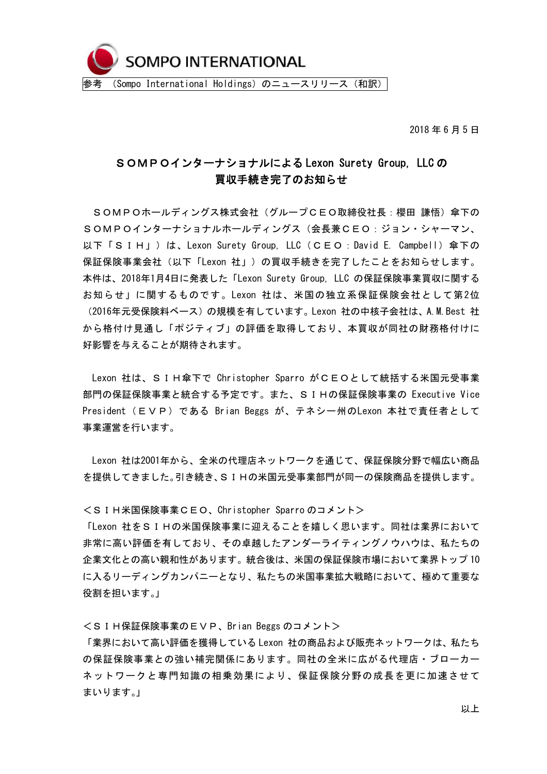

2018 年 6 月 5 日

## SOMPOインターナショナルによる Lexon Surety Group, LLC の 買収手続き完了のお知らせ

SOMPOホールディングス株式会社(グループCEO取締役社長:櫻田 謙悟)傘下の SOMPOインターナショナルホールディングス(会長兼CEO:ジョン・シャーマン、 以下「SIH」)は、Lexon Surety Group, LLC(CEO:David E. Campbell)傘下の 保証保険事業会社(以下「Lexon 社」)の買収手続きを完了したことをお知らせします。 本件は、2018年1月4日に発表した「Lexon Surety Group, LLC の保証保険事業買収に関する お知らせ Iに関するものです。 Lexon 社は、米国の独立系保証保険会社として第2位 (2016年元受保険料ベース)の規模を有しています。Lexon 社の中核子会社は、A.M.Best 社 から格付け見通し「ポジティブ」の評価を取得しており、本買収が同社の財務格付けに 好影響を与えることが期待されます。

Lexon 社は、SIH傘下で Christopher Sparro がCEOとして統括する米国元受事業 部門の保証保険事業と統合する予定です。また、SIHの保証保険事業の Executive Vice President (EVP) である Brian Beggs が、テネシー州のLexon 本社で青任者として 事業運営を行います。

Lexon 社は2001年から、全米の代理店ネットワークを通じて、保証保険分野で幅広い商品 を提供してきました。引き続き、SIHの米国元受事業部門が同一の保険商品を提供します。

<SIH米国保険事業CEO、Christopher Sparro のコメント>

「Lexon 社をSIHの米国保険事業に迎えることを嬉しく思います。同社は業界において 非常に高い評価を有しており、その卓越したアンダーライティングノウハウは、私たちの 企業文化との高い親和性があります。統合後は、米国の保証保険市場において業界トップ 10 に入るリーディングカンパニーとなり、私たちの米国事業拡大戦略において、極めて重要な 役割を担います。」

<SIH保証保険事業のEVP、Brian Beggs のコメント>

「業界において高い評価を獲得している Lexon 社の商品および販売ネットワークは、私たち の保証保険事業との強い補完関係にあります。同社の全米に広がる代理店・ブローカー ネットワークと専門知識の相乗効果により、保証保険分野の成長を更に加速させて まいります。」